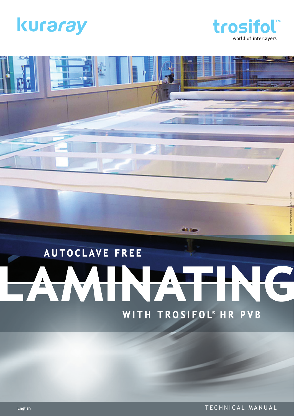



Photo: © Fotoverbundglas Marl GmbH

# **AUTOCLAVE FREE** PAWIN ATING WITH TROSIFOL® HR PVB

**ALL** 

**English** TECHNICAL MANUAL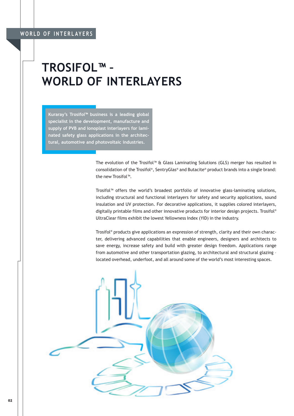### **TROSIFOL™ – WORLD OF INTERLAYERS**

**Kuraray's Trosifol™ business is a leading global specialist in the development, manufacture and supply of PVB and ionoplast interlayers for laminated safety glass applications in the architectural, automotive and photovoltaic industries.**

> The evolution of the Trosifol™ & Glass Laminating Solutions (GLS) merger has resulted in consolidation of the Trosifol®, SentryGlas® and Butacite® product brands into a single brand: the new Trosifol™.

> Trosifol™ offers the world's broadest portfolio of innovative glass-laminating solutions, including structural and functional interlayers for safety and security applications, sound insulation and UV protection. For decorative applications, it supplies colored interlayers, digitally printable films and other innovative products for interior design projects. Trosifol® UltraClear films exhibit the lowest Yellowness Index (YID) in the industry.

> Trosifol® products give applications an expression of strength, clarity and their own character, delivering advanced capabilities that enable engineers, designers and architects to save energy, increase safety and build with greater design freedom. Applications range from automotive and other transportation glazing, to architectural and structural glazing – located overhead, underfoot, and all around some of the world's most interesting spaces.

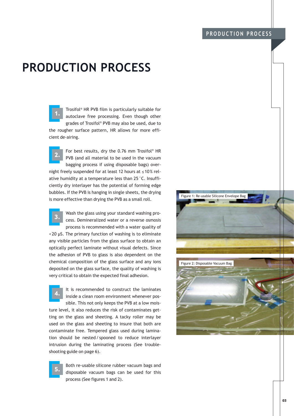#### **PRODUCTION PROCESS**

Trosifol® HR PVB film is particularly suitable for autoclave free processing. Even though other grades of Trosifol® PVB may also be used, due to the rougher surface pattern, HR allows for more efficient de-airing.

For best results, dry the 0.76 mm Trosifol® HR PVB (and all material to be used in the vacuum bagging process if using disposable bags) overnight freely suspended for at least 12 hours at ≤10% relative humidity at a temperature less than 25 °C. Insufficiently dry interlayer has the potential of forming edge bubbles. If the PVB is hanging in single sheets, the drying is more effective than drying the PVB as a small roll.



Wash the glass using your standard washing process. Demineralized water or a reverse osmosis process is recommended with a water quality of

< 20 µS. The primary function of washing is to eliminate any visible particles from the glass surface to obtain an optically perfect laminate without visual defects. Since the adhesion of PVB to glass is also dependent on the chemical composition of the glass surface and any ions deposited on the glass surface, the quality of washing is very critical to obtain the expected final adhesion.

It is recommended to construct the laminates inside a clean room environment whenever possible. This not only keeps the PVB at a low mois-

ture level, it also reduces the risk of contaminates getting on the glass and sheeting. A tacky roller may be used on the glass and sheeting to insure that both are contaminate free. Tempered glass used during lamination should be nested / spooned to reduce interlayer intrusion during the laminating process (See troubleshooting guide on page 6).

> Both re-usable silicone rubber vacuum bags and disposable vacuum bags can be used for this process (See figures 1 and 2).



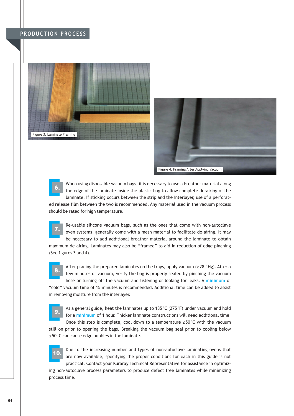#### **PRODUCTION PROCESS**







When using disposable vacuum bags, it is necessary to use a breather material along the edge of the laminate inside the plastic bag to allow complete de-airing of the laminate. If sticking occurs between the strip and the interlayer, use of a perforated release film between the two is recommended. Any material used in the vacuum process

should be rated for high temperature.



Re-usable silicone vacuum bags, such as the ones that come with non-autoclave oven systems, generally come with a mesh material to facilitate de-airing. It may be necessary to add additional breather material around the laminate to obtain

maximum de-airing. Laminates may also be "framed" to aid in reduction of edge pinching (See figures 3 and 4).



After placing the prepared laminates on the trays, apply vacuum ( $\geq$  28" Hg). After a few minutes of vacuum, verify the bag is properly sealed by pinching the vacuum hose or turning off the vacuum and listening or looking for leaks. A **minimum** of

"cold" vacuum time of 15 minutes is recommended. Additional time can be added to assist in removing moisture from the interlayer.



As a general guide, heat the laminates up to 135°C (275°F) under vacuum and hold for a **minimum** of 1 hour. Thicker laminate constructions will need additional time. Once this step is complete, cool down to a temperature ≤ 50°C with the vacuum

still on prior to opening the bags. Breaking the vacuum bag seal prior to cooling below ≤ 50°C can cause edge bubbles in the laminate.



Due to the increasing number and types of non-autoclave laminating ovens that are now available, specifying the proper conditions for each in this guide is not practical. Contact your Kuraray Technical Representative for assistance in optimiz-

ing non-autoclave process parameters to produce defect free laminates while minimizing process time.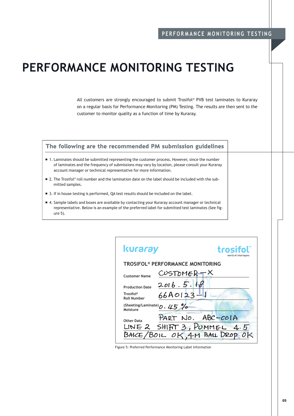## **PERFORMANCE MONITORING TESTING**

All customers are strongly encouraged to submit Trosifol® PVB test laminates to Kuraray on a regular basis for Performance Monitoring (PM) Testing. The results are then sent to the customer to monitor quality as a function of time by Kuraray.

#### The following are the recommended PM submission guidelines

- 1. Laminates should be submitted representing the customer process. However, since the number of laminates and the frequency of submissions may vary by location, please consult your Kuraray account manager or technical representative for more information.
- 2. The Trosifol® roll number and the lamination date on the label should be included with the submitted samples.
- 3. If in house testing is performed, QA test results should be included on the label.
- 4. Sample labels and boxes are available by contacting your Kuraray account manager or technical representative. Below is an example of the preferred label for submitted test laminates (See figure 5).

| <b>kuraray</b><br>trosifol<br>world of interlayers |                                                     |  |  |
|----------------------------------------------------|-----------------------------------------------------|--|--|
| TROSIFOL® PERFORMANCE MONITORING                   |                                                     |  |  |
| <b>Customer Name</b>                               | $CUSTOMER-X$                                        |  |  |
| <b>Production Date</b>                             | 2016.5.18                                           |  |  |
| Trosifol®<br><b>Roll Number</b>                    | $66A0123 - 1$                                       |  |  |
| (Sheeting/Laminate) $0.45\%$<br>Moisture           |                                                     |  |  |
| <b>Other Data</b>                                  | PART NO. ABC-COIA<br>LINE 2 SHIFIT 3, PUMMEL<br>4.5 |  |  |
| BAKE/BOIL OK 4M BALL DROP                          |                                                     |  |  |

Figure 5: Preferred Performance Monitoring Label Information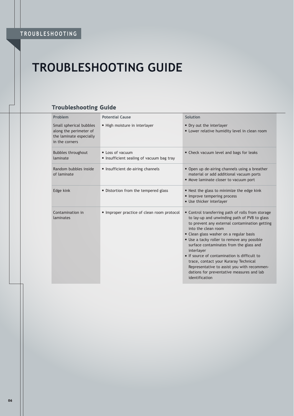## **TROUBLESHOOTING GUIDE**

#### **Troubleshooting Guide**

| Problem                                                                                        | <b>Potential Cause</b>                                      | Solution                                                                                                                                                                                                                                                                                                                                                                                                                                                                                                                        |
|------------------------------------------------------------------------------------------------|-------------------------------------------------------------|---------------------------------------------------------------------------------------------------------------------------------------------------------------------------------------------------------------------------------------------------------------------------------------------------------------------------------------------------------------------------------------------------------------------------------------------------------------------------------------------------------------------------------|
| Small spherical bubbles<br>along the perimeter of<br>the laminate especially<br>in the corners | High moisture in interlayer                                 | Dry out the interlayer<br>Lower relative humidity level in clean room                                                                                                                                                                                                                                                                                                                                                                                                                                                           |
| <b>Bubbles throughout</b><br>laminate                                                          | • Loss of vacuum<br>Insufficient sealing of vacuum bag tray | • Check vacuum level and bags for leaks                                                                                                                                                                                                                                                                                                                                                                                                                                                                                         |
| Random bubbles inside<br>of laminate                                                           | Insufficient de-airing channels                             | • Open up de-airing channels using a breather<br>material or add additional vacuum ports<br>Move laminate closer to vacuum port                                                                                                                                                                                                                                                                                                                                                                                                 |
| Edge kink                                                                                      | Distortion from the tempered glass                          | Nest the glass to minimize the edge kink<br>Improve tempering process<br>Use thicker interlayer                                                                                                                                                                                                                                                                                                                                                                                                                                 |
| Contamination in<br>laminates                                                                  | Improper practice of clean room protocol                    | ■ Control transferring path of rolls from storage<br>to lay-up and unwinding path of PVB to glass<br>to prevent any external contamination getting<br>into the clean room<br>• Clean glass washer on a regular basis<br>Use a tacky roller to remove any possible<br>surface contaminates from the glass and<br>interlayer<br>If source of contamination is difficult to<br>trace, contact your Kuraray Technical<br>Representative to assist you with recommen-<br>dations for preventative measures and lab<br>identification |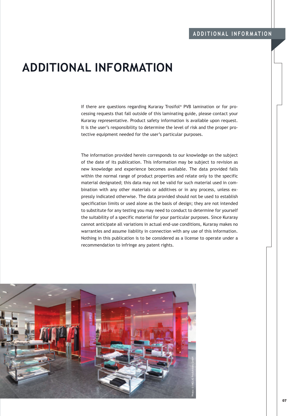#### **ADDITIONAL INFORMATION**

If there are questions regarding Kuraray Trosifol® PVB lamination or for processing requests that fall outside of this laminating guide, please contact your Kuraray representative. Product safety information is available upon request. It is the user's responsibility to determine the level of risk and the proper protective equipment needed for the user's particular purposes.

The information provided herein corresponds to our knowledge on the subject of the date of its publication. This information may be subject to revision as new knowledge and experience becomes available. The data provided falls within the normal range of product properties and relate only to the specific material designated; this data may not be valid for such material used in combination with any other materials or additives or in any process, unless expressly indicated otherwise. The data provided should not be used to establish specification limits or used alone as the basis of design; they are not intended to substitute for any testing you may need to conduct to determine for yourself the suitability of a specific material for your particular purposes. Since Kuraray cannot anticipate all variations in actual end-use conditions, Kuraray makes no warranties and assume liability in connection with any use of this information. Nothing in this publication is to be considered as a license to operate under a recommendation to infringe any patent rights.